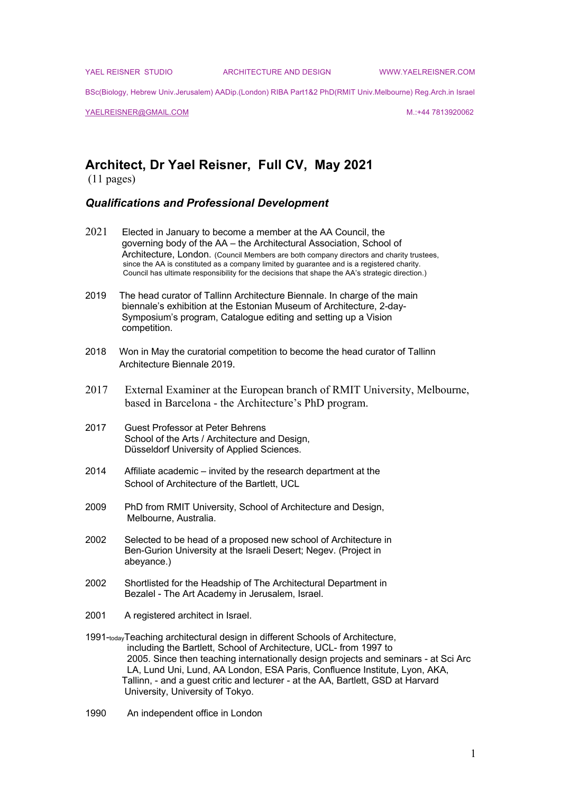YAEL REISNER STUDIO ARCHITECTURE AND DESIGN WWW.YAELREISNER.COM

BSc(Biology, Hebrew Univ.Jerusalem) AADip.(London) RIBA Part1&2 PhD(RMIT Univ.Melbourne) Reg.Arch.in Israel

YAELREISNER@GMAIL.COM and the state of the state of the state of the state of the state of the state of the state of the state of the state of the state of the state of the state of the state of the state of the state of

# **Architect, Dr Yael Reisner, Full CV, May 2021**

(11 pages)

#### *Qualifications and Professional Development*

- 2021 Elected in January to become a member at the AA Council, the governing body of the AA – the Architectural Association, School of Architecture, London. (Council Members are both company directors and charity trustees, since the AA is constituted as a company limited by guarantee and is a registered charity. Council has ultimate responsibility for the decisions that shape the AA's strategic direction.)
- 2019 The head curator of Tallinn Architecture Biennale. In charge of the main biennale's exhibition at the Estonian Museum of Architecture, 2-day- Symposium's program, Catalogue editing and setting up a Vision competition.
- 2018 Won in May the curatorial competition to become the head curator of Tallinn Architecture Biennale 2019.
- 2017 External Examiner at the European branch of RMIT University, Melbourne, based in Barcelona - the Architecture's PhD program.
- 2017 Guest Professor at Peter Behrens School of the Arts / Architecture and Design, Düsseldorf University of Applied Sciences.
- 2014 Affiliate academic invited by the research department at the School of Architecture of the Bartlett, UCL
- 2009 PhD from RMIT University, School of Architecture and Design, Melbourne, Australia.
- 2002 Selected to be head of a proposed new school of Architecture in Ben-Gurion University at the Israeli Desert; Negev. (Project in abeyance.)
- 2002 Shortlisted for the Headship of The Architectural Department in Bezalel - The Art Academy in Jerusalem, Israel.
- 2001 A registered architect in Israel.
- 1991-todayTeaching architectural design in different Schools of Architecture, including the Bartlett, School of Architecture, UCL- from 1997 to 2005. Since then teaching internationally design projects and seminars - at Sci Arc LA, Lund Uni, Lund, AA London, ESA Paris, Confluence Institute, Lyon, AKA, Tallinn, - and a guest critic and lecturer - at the AA, Bartlett, GSD at Harvard University, University of Tokyo.
- 1990 An independent office in London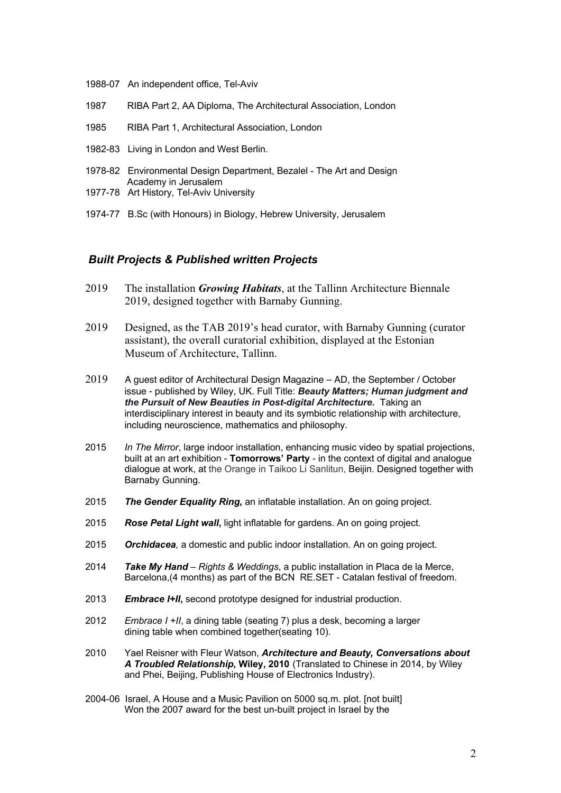- 1988-07 An independent office, Tel-Aviv
- 1987 RIBA Part 2, AA Diploma, The Architectural Association, London
- 1985 RIBA Part 1, Architectural Association, London
- 1982-83 Living in London and West Berlin.
- 1978-82 Environmental Design Department, Bezalel The Art and Design Academy in Jerusalem
- 1977-78 Art History, Tel-Aviv University
- 1974-77 B.Sc (with Honours) in Biology, Hebrew University, Jerusalem

#### *Built Projects & Published written Projects*

- 2019 The installation *Growing Habitats*, at the Tallinn Architecture Biennale 2019, designed together with Barnaby Gunning.
- 2019 Designed, as the TAB 2019's head curator, with Barnaby Gunning (curator assistant), the overall curatorial exhibition, displayed at the Estonian Museum of Architecture, Tallinn.
- 2019 A guest editor of Architectural Design Magazine AD, the September / October issue - published by Wiley, UK. Full Title: *Beauty Matters; Human judgment and the Pursuit of New Beauties in Post-digital Architecture.* Taking an interdisciplinary interest in beauty and its symbiotic relationship with architecture, including neuroscience, mathematics and philosophy.
- 2015 *In The Mirror*, large indoor installation, enhancing music video by spatial projections, built at an art exhibition - **Tomorrows' Party** - in the context of digital and analogue dialogue at work, at the Orange in Taikoo Li Sanlitun, Beijin. Designed together with Barnaby Gunning.
- 2015 *The Gender Equality Ring,* an inflatable installation. An on going project.
- 2015 *Rose Petal Light wall***,** light inflatable for gardens. An on going project.
- 2015 *Orchidacea,* a domestic and public indoor installation. An on going project.
- 2014 *Take My Hand – Rights & Weddings*, a public installation in Placa de la Merce, Barcelona,(4 months) as part of the BCN RE.SET - Catalan festival of freedom.
- 2013 *Embrace I+II***,** second prototype designed for industrial production.
- 2012 *Embrace I +II*, a dining table (seating 7) plus a desk, becoming a larger dining table when combined together(seating 10).
- 2010 Yael Reisner with Fleur Watson, *Architecture and Beauty, Conversations about A Troubled Relationship***, Wiley, 2010** (Translated to Chinese in 2014, by Wiley and Phei, Beijing, Publishing House of Electronics Industry).
- 2004-06 Israel, A House and a Music Pavilion on 5000 sq.m. plot. [not built] Won the 2007 award for the best un-built project in Israel by the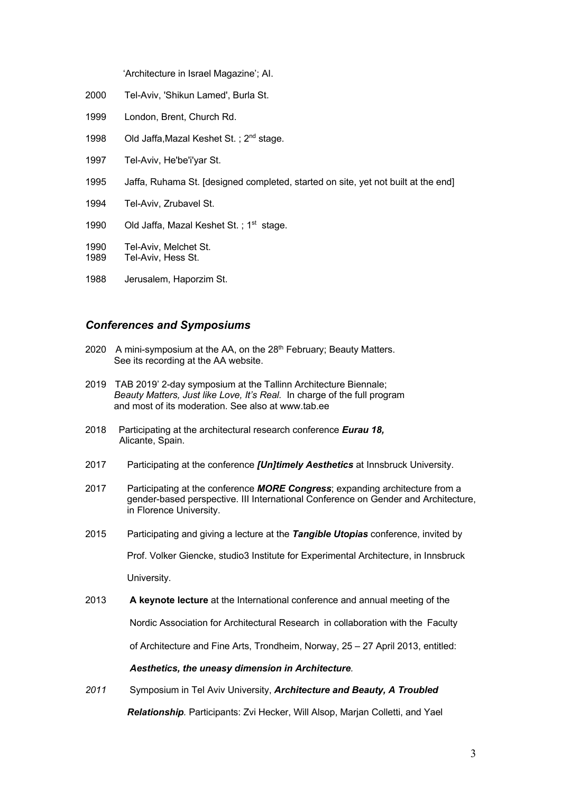'Architecture in Israel Magazine'; AI.

- 2000 Tel-Aviv, 'Shikun Lamed', Burla St.
- 1999 London, Brent, Church Rd.
- 1998 Old Jaffa, Mazal Keshet St. ; 2<sup>nd</sup> stage.
- 1997 Tel-Aviv, He'be'i'yar St.
- 1995 Jaffa, Ruhama St. [designed completed, started on site, yet not built at the end]
- 1994 Tel-Aviv, Zrubavel St.
- 1990 Old Jaffa, Mazal Keshet St.; 1<sup>st</sup> stage.
- 1990 Tel-Aviv, Melchet St.<br>1989 Tel-Aviv Hess St
- Tel-Aviv, Hess St.
- 1988 Jerusalem, Haporzim St.

# *Conferences and Symposiums*

- 2020 A mini-symposium at the AA, on the  $28<sup>th</sup>$  February; Beauty Matters. See its recording at the AA website.
- 2019 TAB 2019' 2-day symposium at the Tallinn Architecture Biennale; *Beauty Matters, Just like Love, It's Real.* In charge of the full program and most of its moderation. See also at www.tab.ee
- 2018 Participating at the architectural research conference *Eurau 18,* Alicante, Spain.
- 2017 Participating at the conference *[Un]timely Aesthetics* at Innsbruck University.
- 2017 Participating at the conference *MORE Congress*; expanding architecture from a gender-based perspective. III International Conference on Gender and Architecture, in Florence University.
- 2015 Participating and giving a lecture at the *Tangible Utopias* conference, invited by

Prof. Volker Giencke, studio3 Institute for Experimental Architecture, in Innsbruck

University.

2013 **A keynote lecture** at the International conference and annual meeting of the

Nordic Association for Architectural Research in collaboration with the Faculty

of Architecture and Fine Arts, Trondheim, Norway, 25 – 27 April 2013, entitled:

#### *Aesthetics, the uneasy dimension in Architecture.*

*2011* Symposium in Tel Aviv University, *Architecture and Beauty, A Troubled*

 *Relationship.* Participants: Zvi Hecker, Will Alsop, Marjan Colletti, and Yael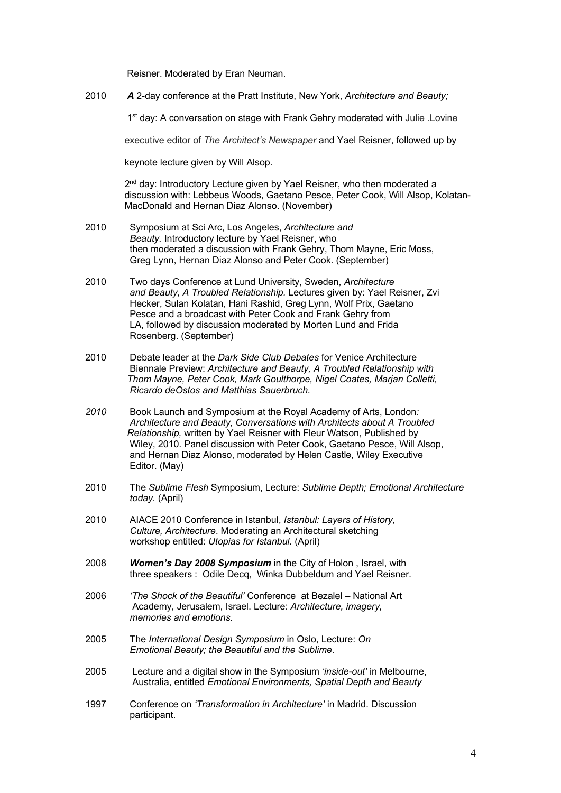Reisner. Moderated by Eran Neuman.

2010 *A* 2-day conference at the Pratt Institute, New York, *Architecture and Beauty;*

1<sup>st</sup> day: A conversation on stage with Frank Gehry moderated with Julie .Lovine

executive editor of *The Architect's Newspaper* and Yael Reisner, followed up by

keynote lecture given by Will Alsop.

2<sup>nd</sup> day: Introductory Lecture given by Yael Reisner, who then moderated a discussion with: Lebbeus Woods, Gaetano Pesce, Peter Cook, Will Alsop, Kolatan- MacDonald and Hernan Diaz Alonso. (November)

- 2010 Symposium at Sci Arc, Los Angeles, *Architecture and Beauty.* Introductory lecture by Yael Reisner, who then moderated a discussion with Frank Gehry, Thom Mayne, Eric Moss, Greg Lynn, Hernan Diaz Alonso and Peter Cook. (September)
- 2010 Two days Conference at Lund University, Sweden, *Architecture and Beauty, A Troubled Relationship.* Lectures given by: Yael Reisner, Zvi Hecker, Sulan Kolatan, Hani Rashid, Greg Lynn, Wolf Prix, Gaetano Pesce and a broadcast with Peter Cook and Frank Gehry from LA, followed by discussion moderated by Morten Lund and Frida Rosenberg. (September)
- 2010 Debate leader at the *Dark Side Club Debates* for Venice Architecture Biennale Preview: *Architecture and Beauty, A Troubled Relationship with Thom Mayne, Peter Cook, Mark Goulthorpe, Nigel Coates, Marjan Colletti, Ricardo deOstos and Matthias Sauerbruch.*
- *2010* Book Launch and Symposium at the Royal Academy of Arts, London*: Architecture and Beauty, Conversations with Architects about A Troubled Relationship,* written by Yael Reisner with Fleur Watson, Published by Wiley, 2010. Panel discussion with Peter Cook, Gaetano Pesce, Will Alsop, and Hernan Diaz Alonso, moderated by Helen Castle, Wiley Executive Editor. (May)
- 2010 The *Sublime Flesh* Symposium, Lecture: *Sublime Depth; Emotional Architecture today.* (April)
- 2010 AIACE 2010 Conference in Istanbul, *Istanbul: Layers of History, Culture, Architecture*. Moderating an Architectural sketching workshop entitled: *Utopias for Istanbul.* (April)
- 2008 *Women's Day 2008 Symposium* in the City of Holon , Israel, with three speakers : Odile Decq, Winka Dubbeldum and Yael Reisner.
- 2006 *'The Shock of the Beautiful'* Conferenceat Bezalel National Art Academy, Jerusalem, Israel. Lecture: *Architecture, imagery, memories and emotions.*
- 2005 The *International Design Symposium* in Oslo, Lecture: *On Emotional Beauty; the Beautiful and the Sublime*.
- 2005 Lecture and a digital show in the Symposium *'inside-out'* in Melbourne, Australia, entitled *Emotional Environments, Spatial Depth and Beauty*
- 1997 Conference on *'Transformation in Architecture'* in Madrid. Discussion participant.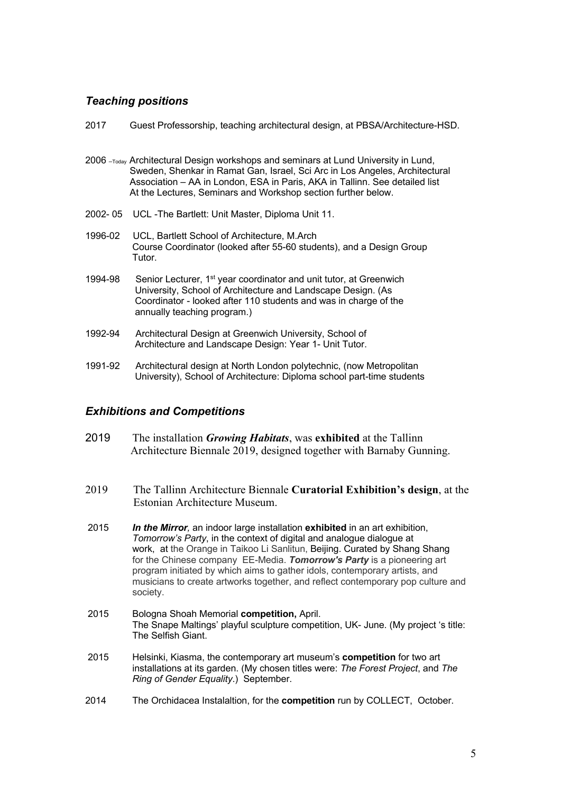# *Teaching positions*

| 2017    | Guest Professorship, teaching architectural design, at PBSA/Architecture-HSD.                                                                                                                                                                                                                                      |
|---------|--------------------------------------------------------------------------------------------------------------------------------------------------------------------------------------------------------------------------------------------------------------------------------------------------------------------|
|         | 2006 -Today Architectural Design workshops and seminars at Lund University in Lund,<br>Sweden, Shenkar in Ramat Gan, Israel, Sci Arc in Los Angeles, Architectural<br>Association - AA in London, ESA in Paris, AKA in Tallinn. See detailed list<br>At the Lectures, Seminars and Workshop section further below. |
|         | 2002-05 UCL-The Bartlett: Unit Master, Diploma Unit 11.                                                                                                                                                                                                                                                            |
| 1996-02 | UCL, Bartlett School of Architecture, M.Arch<br>Course Coordinator (looked after 55-60 students), and a Design Group<br>Tutor.                                                                                                                                                                                     |
| 1994-98 | Senior Lecturer, 1 <sup>st</sup> year coordinator and unit tutor, at Greenwich<br>University, School of Architecture and Landscape Design. (As<br>Coordinator - looked after 110 students and was in charge of the<br>annually teaching program.)                                                                  |
| 1992-94 | Architectural Design at Greenwich University, School of<br>Architecture and Landscape Design: Year 1- Unit Tutor.                                                                                                                                                                                                  |
| 1991-92 | Architectural design at North London polytechnic, (now Metropolitan                                                                                                                                                                                                                                                |

# *Exhibitions and Competitions*

2019 The installation *Growing Habitats*, was **exhibited** at the Tallinn Architecture Biennale 2019, designed together with Barnaby Gunning.

University), School of Architecture: Diploma school part-time students

- 2019 The Tallinn Architecture Biennale **Curatorial Exhibition's design**, at the Estonian Architecture Museum.
- 2015 *In the Mirror,* an indoor large installation **exhibited** in an art exhibition,  *Tomorrow's Party*, in the context of digital and analogue dialogue at work, at the Orange in Taikoo Li Sanlitun, Beijing. Curated by Shang Shang for the Chinese company EE-Media. *Tomorrow's Party* is a pioneering art program initiated by which aims to gather idols, contemporary artists, and musicians to create artworks together, and reflect contemporary pop culture and society.
- 2015 Bologna Shoah Memorial **competition,** April. The Snape Maltings' playful sculpture competition, UK- June. (My project 's title: The Selfish Giant.
- 2015 Helsinki, Kiasma, the contemporary art museum's **competition** for two art installations at its garden. (My chosen titles were: *The Forest Project*, and *The Ring of Gender Equality*.) September.
- 2014 The Orchidacea Instalaltion, for the **competition** run by COLLECT, October.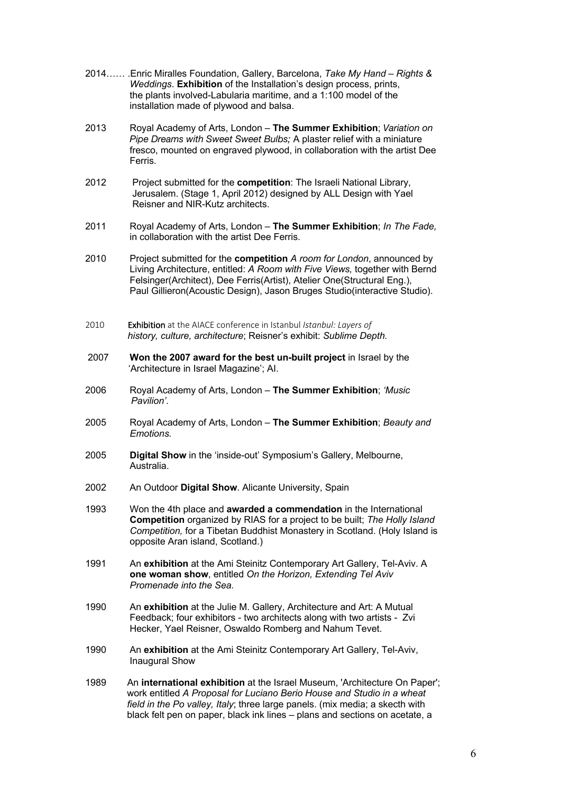- 2014…… .Enric Miralles Foundation, Gallery, Barcelona, *Take My Hand – Rights & Weddings*. **Exhibition** of the Installation's design process, prints, the plants involved-Labularia maritime, and a 1:100 model of the installation made of plywood and balsa.
- 2013 Royal Academy of Arts, London **The Summer Exhibition**; *Variation on Pipe Dreams with Sweet Sweet Bulbs;* A plaster relief with a miniature fresco, mounted on engraved plywood, in collaboration with the artist Dee Ferris.
- 2012 Project submitted for the **competition**: The Israeli National Library, Jerusalem. (Stage 1, April 2012) designed by ALL Design with Yael Reisner and NIR-Kutz architects.
- 2011 Royal Academy of Arts, London **The Summer Exhibition**; *In The Fade,*  in collaboration with the artist Dee Ferris.
- 2010 Project submitted for the **competition** *A room for London*, announced by Living Architecture, entitled: *A Room with Five Views,* together with Bernd Felsinger(Architect), Dee Ferris(Artist), Atelier One(Structural Eng.), Paul Gillieron(Acoustic Design), Jason Bruges Studio(interactive Studio).
- 2010 Exhibition at the AIACE conference in Istanbul *Istanbul: Layers of history, culture, architecture*; Reisner's exhibit: *Sublime Depth.*
- 2007 **Won the 2007 award for the best un-built project** in Israel by the 'Architecture in Israel Magazine'; AI.
- 2006 Royal Academy of Arts, London **The Summer Exhibition**; *'Music Pavilion'*.
- 2005 Royal Academy of Arts, London **The Summer Exhibition**; *Beauty and Emotions.*
- 2005 **Digital Show** in the 'inside-out' Symposium's Gallery, Melbourne, Australia.
- 2002 An Outdoor **Digital Show**. Alicante University, Spain
- 1993 Won the 4th place and **awarded a commendation** in the International **Competition** organized by RIAS for a project to be built; *The Holly Island Competition,* for a Tibetan Buddhist Monastery in Scotland. (Holy Island is opposite Aran island, Scotland.)
- 1991 An **exhibition** at the Ami Steinitz Contemporary Art Gallery, Tel-Aviv. A  **one woman show**, entitled *On the Horizon, Extending Tel Aviv Promenade into the Sea.*
- 1990 An **exhibition** at the Julie M. Gallery, Architecture and Art: A Mutual Feedback; four exhibitors - two architects along with two artists - Zvi Hecker, Yael Reisner, Oswaldo Romberg and Nahum Tevet.
- 1990 An **exhibition** at the Ami Steinitz Contemporary Art Gallery, Tel-Aviv, Inaugural Show
- 1989 An **international exhibition** at the Israel Museum, 'Architecture On Paper'; work entitled *A Proposal for Luciano Berio House and Studio in a wheat field in the Po valley, Italy*; three large panels. (mix media; a skecth with black felt pen on paper, black ink lines – plans and sections on acetate, a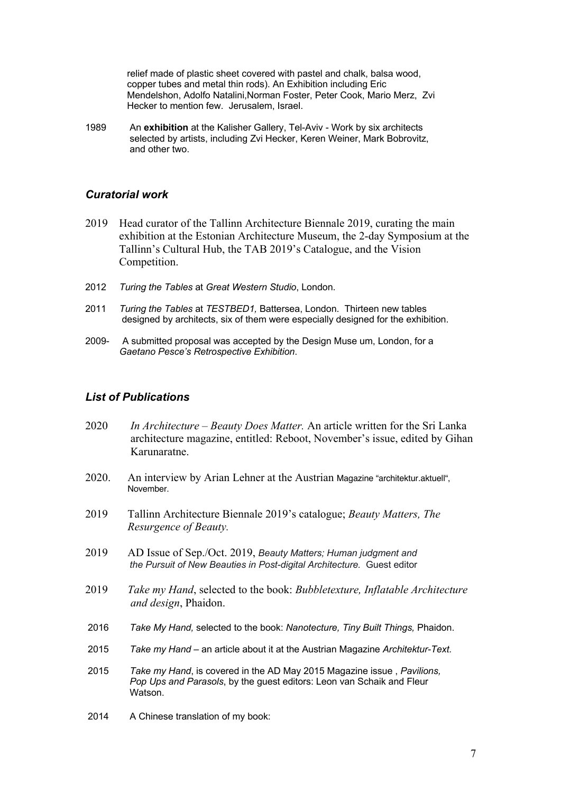relief made of plastic sheet covered with pastel and chalk, balsa wood, copper tubes and metal thin rods). An Exhibition including Eric Mendelshon, Adolfo Natalini,Norman Foster, Peter Cook, Mario Merz, Zvi Hecker to mention few. Jerusalem, Israel.

1989 An **exhibition** at the Kalisher Gallery, Tel-Aviv - Work by six architects selected by artists, including Zvi Hecker, Keren Weiner, Mark Bobrovitz, and other two.

### *Curatorial work*

- 2019 Head curator of the Tallinn Architecture Biennale 2019, curating the main exhibition at the Estonian Architecture Museum, the 2-day Symposium at the Tallinn's Cultural Hub, the TAB 2019's Catalogue, and the Vision Competition.
- 2012 *Turing the Tables* at *Great Western Studio*, London.
- 2011 *Turing the Tables* at *TESTBED1,* Battersea, London.Thirteen new tables designed by architects, six of them were especially designed for the exhibition.
- 2009- A submitted proposal was accepted by the Design Muse um, London, for a *Gaetano Pesce's Retrospective Exhibition*.

# *List of Publications*

- 2020 *In Architecture – Beauty Does Matter.* An article written for the Sri Lanka architecture magazine, entitled: Reboot, November's issue, edited by Gihan Karunaratne.
- 2020. An interview by Arian Lehner at the Austrian Magazine "architektur.aktuell", November.
- 2019 Tallinn Architecture Biennale 2019's catalogue; *Beauty Matters, The Resurgence of Beauty.*
- 2019 AD Issue of Sep./Oct. 2019, *Beauty Matters; Human judgment and the Pursuit of New Beauties in Post-digital Architecture.* Guest editor
- 2019 *Take my Hand*, selected to the book: *Bubbletexture, Inflatable Architecture and design*, Phaidon.
- 2016 *Take My Hand,* selected to the book: *Nanotecture, Tiny Built Things,* Phaidon.
- 2015 *Take my Hand* an article about it at the Austrian Magazine *Architektur-Text.*
- 2015 *Take my Hand*, is covered in the AD May 2015 Magazine issue , *Pavilions, Pop Ups and Parasols*, by the guest editors: Leon van Schaik and Fleur Watson.
- 2014 A Chinese translation of my book: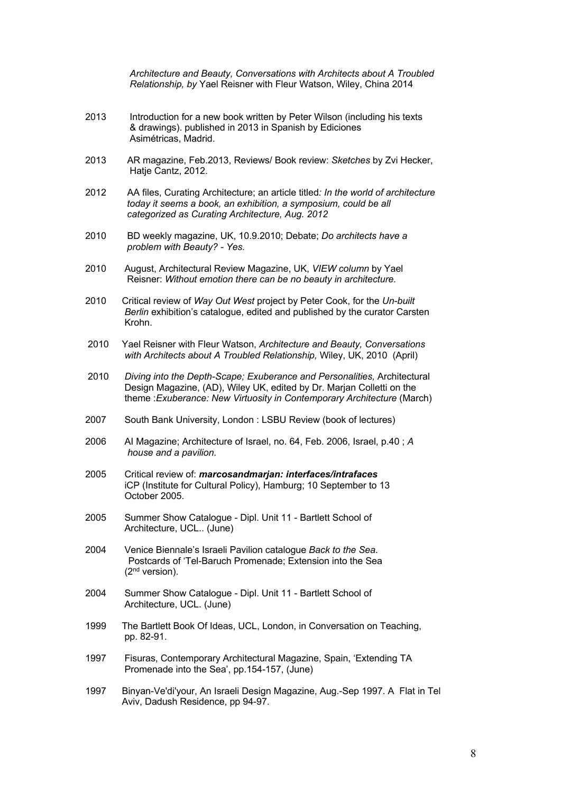*Architecture and Beauty, Conversations with Architects about A Troubled Relationship, by* Yael Reisner with Fleur Watson, Wiley, China 2014

- 2013 Introduction for a new book written by Peter Wilson (including his texts & drawings). published in 2013 in Spanish by Ediciones Asimétricas, Madrid.
- 2013 AR magazine, Feb.2013, Reviews/ Book review: *Sketches* by Zvi Hecker, Hatje Cantz, 2012.
- 2012 AA files, Curating Architecture; an article titled*: In the world of architecture today it seems a book, an exhibition, a symposium, could be all categorized as Curating Architecture, Aug. 2012*
- 2010 BD weekly magazine, UK, 10.9.2010; Debate; *Do architects have a problem with Beauty? - Yes.*
- 2010 August, Architectural Review Magazine, UK, *VIEW column* by Yael Reisner: *Without emotion there can be no beauty in architecture.*
- 2010 Critical review of *Way Out West* project by Peter Cook, for the *Un-built Berlin* exhibition's catalogue, edited and published by the curator Carsten Krohn.
- 2010 Yael Reisner with Fleur Watson, *Architecture and Beauty, Conversations with Architects about A Troubled Relationship,* Wiley, UK, 2010 (April)
- 2010 *Diving into the Depth-Scape; Exuberance and Personalities,* Architectural Design Magazine, (AD), Wiley UK, edited by Dr. Marjan Colletti on the theme : *Exuberance: New Virtuosity in Contemporary Architecture* (March)
- 2007South Bank University, London : LSBU Review (book of lectures)
- 2006 AI Magazine; Architecture of Israel, no. 64, Feb. 2006, Israel, p.40 ; *A house and a pavilion.*
- 2005 Critical review of: *marcosandmarjan: interfaces/intrafaces* iCP (Institute for Cultural Policy), Hamburg; 10 September to 13 October 2005.
- 2005 Summer Show Catalogue Dipl. Unit 11 Bartlett School of Architecture, UCL.. (June)
- 2004 Venice Biennale's Israeli Pavilion catalogue *Back to the Sea*. Postcards of 'Tel-Baruch Promenade; Extension into the Sea (2nd version).
- 2004 Summer Show Catalogue Dipl. Unit 11 Bartlett School of Architecture, UCL. (June)
- 1999 The Bartlett Book Of Ideas, UCL, London, in Conversation on Teaching, pp. 82-91.
- 1997 Fisuras, Contemporary Architectural Magazine, Spain, 'Extending TA Promenade into the Sea', pp.154-157, (June)
- 1997 Binyan-Ve'di'your, An Israeli Design Magazine, Aug.-Sep 1997. A Flat in Tel Aviv, Dadush Residence, pp 94-97.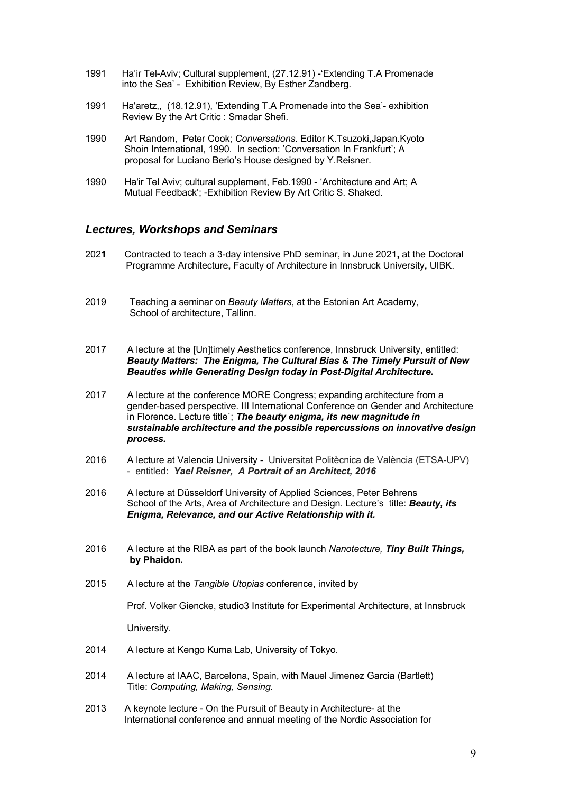- 1991 Ha'ir Tel-Aviv; Cultural supplement, (27.12.91) -'Extending T.A Promenade into the Sea' - Exhibition Review, By Esther Zandberg.
- 1991 Ha'aretz,, (18.12.91), 'Extending T.A Promenade into the Sea'- exhibition Review By the Art Critic : Smadar Shefi.
- 1990 Art Random, Peter Cook; *Conversations.* Editor K.Tsuzoki,Japan.Kyoto Shoin International, 1990. In section: 'Conversation In Frankfurt'; A proposal for Luciano Berio's House designed by Y.Reisner.
- 1990 Ha'ir Tel Aviv; cultural supplement, Feb.1990 'Architecture and Art; A Mutual Feedback'; -Exhibition Review By Art Critic S. Shaked.

### *Lectures, Workshops and Seminars*

- 202**1** Contracted to teach a 3-day intensive PhD seminar, in June 2021**,** at the Doctoral Programme Architecture**,** Faculty of Architecture in Innsbruck University**,** UIBK.
- 2019 Teaching a seminar on *Beauty Matters*, at the Estonian Art Academy, School of architecture, Tallinn.
- 2017 A lecture at the [Un]timely Aesthetics conference, Innsbruck University, entitled:  *Beauty Matters: The Enigma, The Cultural Bias & The Timely Pursuit of New Beauties while Generating Design today in Post-Digital Architecture.*
- 2017 A lecture at the conference MORE Congress; expanding architecture from a gender-based perspective. III International Conference on Gender and Architecture in Florence. Lecture title`; *The beauty enigma, its new magnitude in*  *sustainable architecture and the possible repercussions on innovative design process.*
- 2016 A lecture at Valencia University Universitat Politècnica de València (ETSA-UPV) - entitled: *Yael Reisner, A Portrait of an Architect, 2016*
- 2016 A lecture at Düsseldorf University of Applied Sciences, Peter Behrens School of the Arts, Area of Architecture and Design. Lecture's title: *Beauty, its Enigma, Relevance, and our Active Relationship with it.*
- 2016 A lecture at the RIBA as part of the book launch *Nanotecture, Tiny Built Things,*  **by Phaidon.**
- 2015 A lecture at the *Tangible Utopias* conference, invited by

Prof. Volker Giencke, studio3 Institute for Experimental Architecture, at Innsbruck

University.

- 2014 A lecture at Kengo Kuma Lab, University of Tokyo.
- 2014 A lecture at IAAC, Barcelona, Spain, with Mauel Jimenez Garcia (Bartlett) Title: *Computing, Making, Sensing.*
- 2013 A keynote lecture On the Pursuit of Beauty in Architecture- at the International conference and annual meeting of the Nordic Association for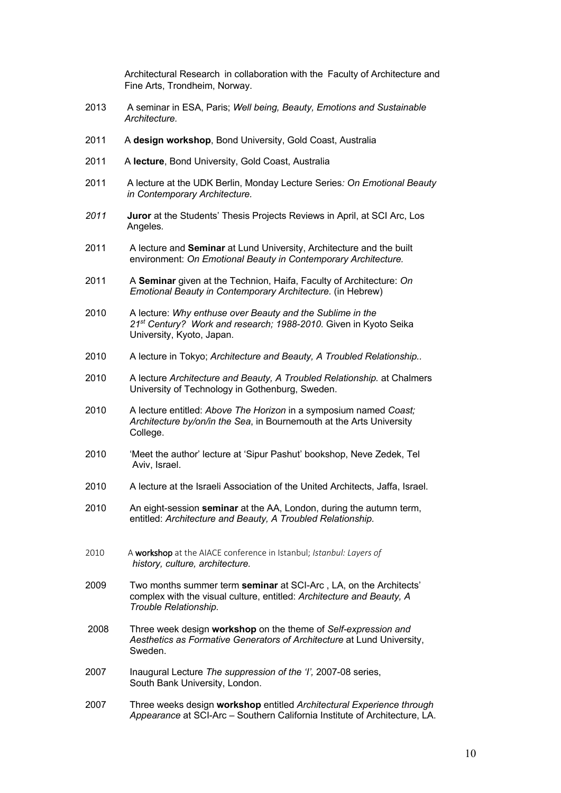Architectural Research in collaboration with the Faculty of Architecture and Fine Arts, Trondheim, Norway.

- 2013 A seminar in ESA, Paris; *Well being, Beauty, Emotions and Sustainable Architecture.*
- 2011 A **design workshop**, Bond University, Gold Coast, Australia
- 2011 A **lecture**, Bond University, Gold Coast, Australia
- 2011 A lecture at the UDK Berlin, Monday Lecture Series*: On Emotional Beauty in Contemporary Architecture.*
- *2011* **Juror** at the Students' Thesis Projects Reviews in April, at SCI Arc, Los Angeles*.*
- 2011 A lecture and **Seminar** at Lund University, Architecture and the built environment: *On Emotional Beauty in Contemporary Architecture.*
- 2011 A **Seminar** given at the Technion, Haifa, Faculty of Architecture: *On Emotional Beauty in Contemporary Architecture.* (in Hebrew)
- 2010 A lecture: *Why enthuse over Beauty and the Sublime in the 21st Century? Work and research; 1988-2010.* Given in Kyoto Seika University, Kyoto, Japan.
- 2010 A lecture in Tokyo; *Architecture and Beauty, A Troubled Relationship..*
- 2010 A lecture *Architecture and Beauty, A Troubled Relationship.* at Chalmers University of Technology in Gothenburg, Sweden.
- 2010 A lecture entitled: *Above The Horizon* in a symposium named *Coast; Architecture by/on/in the Sea*, in Bournemouth at the Arts University College.
- 2010 'Meet the author' lecture at 'Sipur Pashut' bookshop, Neve Zedek, Tel Aviv, Israel.
- 2010 A lecture at the Israeli Association of the United Architects, Jaffa, Israel.
- 2010 An eight-session **seminar** at the AA, London, during the autumn term, entitled: *Architecture and Beauty, A Troubled Relationship.*
- 2010 A workshop at the AIACE conference in Istanbul; *Istanbul: Layers of history, culture, architecture.*
- 2009 Two months summer term **seminar** at SCI-Arc , LA, on the Architects' complex with the visual culture, entitled: *Architecture and Beauty, A Trouble Relationship.*
- 2008 Three week design **workshop** on the theme of *Self-expression and Aesthetics as Formative Generators of Architecture* at Lund University, Sweden.
- 2007 Inaugural Lecture *The suppression of the 'I',* 2007-08 series, South Bank University, London.
- 2007 Three weeks design **workshop** entitled *Architectural Experience through Appearance* at SCI-Arc – Southern California Institute of Architecture, LA.